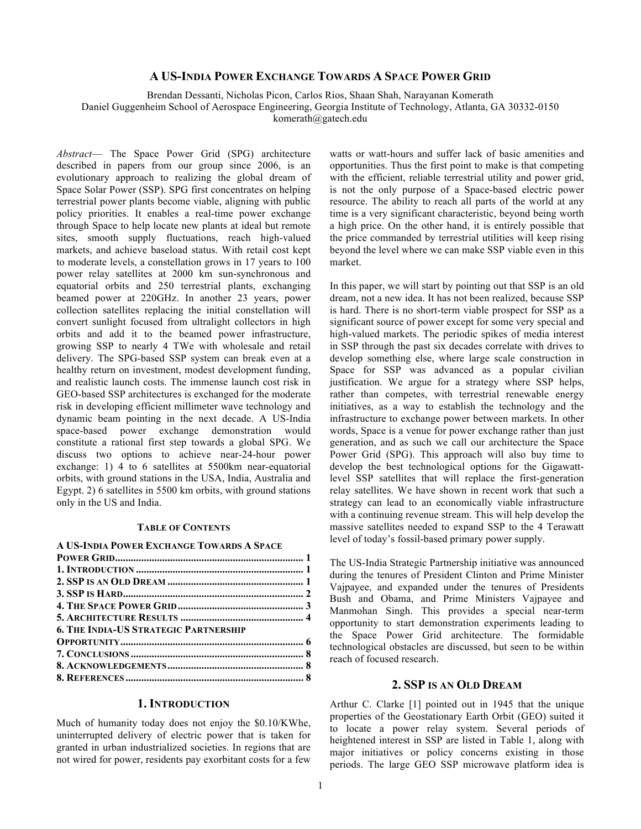# **A US-INDIA POWER EXCHANGE TOWARDS A SPACE POWER GRID**

Brendan Dessanti, Nicholas Picon, Carlos Rios, Shaan Shah, Narayanan Komerath

Daniel Guggenheim School of Aerospace Engineering, Georgia Institute of Technology, Atlanta, GA 30332-0150

komerath@gatech.edu

*Abstract*— The Space Power Grid (SPG) architecture described in papers from our group since 2006, is an evolutionary approach to realizing the global dream of Space Solar Power (SSP). SPG first concentrates on helping terrestrial power plants become viable, aligning with public policy priorities. It enables a real-time power exchange through Space to help locate new plants at ideal but remote sites, smooth supply fluctuations, reach high-valued markets, and achieve baseload status. With retail cost kept to moderate levels, a constellation grows in 17 years to 100 power relay satellites at 2000 km sun-synchronous and equatorial orbits and 250 terrestrial plants, exchanging beamed power at 220GHz. In another 23 years, power collection satellites replacing the initial constellation will convert sunlight focused from ultralight collectors in high orbits and add it to the beamed power infrastructure, growing SSP to nearly 4 TWe with wholesale and retail delivery. The SPG-based SSP system can break even at a healthy return on investment, modest development funding. and realistic launch costs. The immense launch cost risk in GEO-based SSP architectures is exchanged for the moderate risk in developing efficient millimeter wave technology and dynamic beam pointing in the next decade. A US-India space-based power exchange demonstration would constitute a rational first step towards a global SPG. We discuss two options to achieve near-24-hour power exchange: 1) 4 to 6 satellites at 5500km near-equatorial orbits, with ground stations in the USA, India, Australia and Egypt. 2) 6 satellites in 5500 km orbits, with ground stations only in the US and India.

#### **TABLE OF CONTENTS**

#### **A US-INDIA POWER EXCHANGE TOWARDS A SPACE**

| <b>6. THE INDIA-US STRATEGIC PARTNERSHIP</b> |  |
|----------------------------------------------|--|
|                                              |  |
|                                              |  |
|                                              |  |
|                                              |  |

### **1. INTRODUCTION**

Much of humanity today does not enjoy the \$0.10/KWhe, uninterrupted delivery of electric power that is taken for granted in urban industrialized societies. In regions that are not wired for power, residents pay exorbitant costs for a few watts or watt-hours and suffer lack of basic amenities and opportunities. Thus the first point to make is that competing with the efficient, reliable terrestrial utility and power grid, is not the only purpose of a Space-based electric power resource. The ability to reach all parts of the world at any time is a very significant characteristic, beyond being worth a high price. On the other hand, it is entirely possible that the price commanded by terrestrial utilities will keep rising beyond the level where we can make SSP viable even in this market.

In this paper, we will start by pointing out that SSP is an old dream, not a new idea. It has not been realized, because SSP is hard. There is no short-term viable prospect for SSP as a significant source of power except for some very special and high-valued markets. The periodic spikes of media interest in SSP through the past six decades correlate with drives to develop something else, where large scale construction in Space for SSP was advanced as a popular civilian justification. We argue for a strategy where SSP helps, rather than competes, with terrestrial renewable energy initiatives, as a way to establish the technology and the infrastructure to exchange power between markets. In other words, Space is a venue for power exchange rather than just generation, and as such we call our architecture the Space Power Grid (SPG). This approach will also buy time to develop the best technological options for the Gigawattlevel SSP satellites that will replace the first-generation relay satellites. We have shown in recent work that such a strategy can lead to an economically viable infrastructure with a continuing revenue stream. This will help develop the massive satellites needed to expand SSP to the 4 Terawatt level of today's fossil-based primary power supply.

The US-India Strategic Partnership initiative was announced during the tenures of President Clinton and Prime Minister Vajpayee, and expanded under the tenures of Presidents Bush and Obama, and Prime Ministers Vajpayee and Manmohan Singh. This provides a special near-term opportunity to start demonstration experiments leading to the Space Power Grid architecture. The formidable technological obstacles are discussed, but seen to be within reach of focused research.

# **2. SSP IS AN OLD DREAM**

Arthur C. Clarke [1] pointed out in 1945 that the unique properties of the Geostationary Earth Orbit (GEO) suited it to locate a power relay system. Several periods of heightened interest in SSP are listed in Table 1, along with major initiatives or policy concerns existing in those periods. The large GEO SSP microwave platform idea is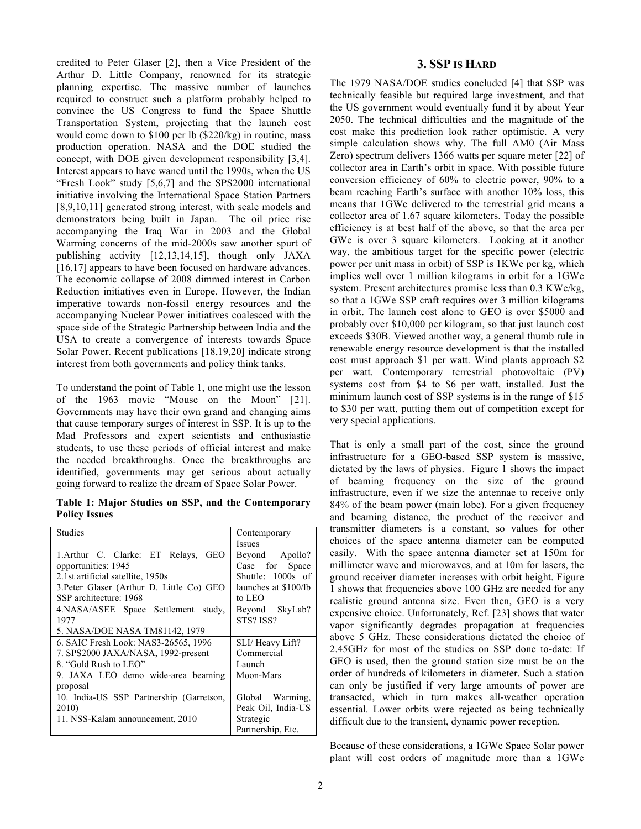credited to Peter Glaser [2], then a Vice President of the Arthur D. Little Company, renowned for its strategic planning expertise. The massive number of launches required to construct such a platform probably helped to convince the US Congress to fund the Space Shuttle Transportation System, projecting that the launch cost would come down to \$100 per lb (\$220/kg) in routine, mass production operation. NASA and the DOE studied the concept, with DOE given development responsibility [3,4]. Interest appears to have waned until the 1990s, when the US "Fresh Look" study [5,6,7] and the SPS2000 international initiative involving the International Space Station Partners [8,9,10,11] generated strong interest, with scale models and demonstrators being built in Japan. The oil price rise accompanying the Iraq War in 2003 and the Global Warming concerns of the mid-2000s saw another spurt of publishing activity [12,13,14,15], though only JAXA [16,17] appears to have been focused on hardware advances. The economic collapse of 2008 dimmed interest in Carbon Reduction initiatives even in Europe. However, the Indian imperative towards non-fossil energy resources and the accompanying Nuclear Power initiatives coalesced with the space side of the Strategic Partnership between India and the USA to create a convergence of interests towards Space Solar Power. Recent publications [18,19,20] indicate strong interest from both governments and policy think tanks.

To understand the point of Table 1, one might use the lesson of the 1963 movie "Mouse on the Moon" [21]. Governments may have their own grand and changing aims that cause temporary surges of interest in SSP. It is up to the Mad Professors and expert scientists and enthusiastic students, to use these periods of official interest and make the needed breakthroughs. Once the breakthroughs are identified, governments may get serious about actually going forward to realize the dream of Space Solar Power.

**Table 1: Major Studies on SSP, and the Contemporary Policy Issues**

| <b>Studies</b>                            | Contemporary         |  |
|-------------------------------------------|----------------------|--|
|                                           | Issues               |  |
| 1. Arthur C. Clarke: ET Relays, GEO       | Beyond Apollo?       |  |
| opportunities: 1945                       | Case for Space       |  |
| 2.1st artificial satellite, 1950s         | Shuttle: 1000s of    |  |
| 3. Peter Glaser (Arthur D. Little Co) GEO | launches at \$100/lb |  |
| SSP architecture: 1968                    | to LEO               |  |
| 4.NASA/ASEE Space Settlement study,       | Beyond SkyLab?       |  |
| 1977                                      | STS? ISS?            |  |
| 5. NASA/DOE NASA TM81142, 1979            |                      |  |
| 6. SAIC Fresh Look: NAS3-26565, 1996      | SLI/ Heavy Lift?     |  |
| 7. SPS2000 JAXA/NASA, 1992-present        | Commercial           |  |
| 8. "Gold Rush to LEO"                     | Launch               |  |
| 9. JAXA LEO demo wide-area beaming        | Moon-Mars            |  |
| proposal                                  |                      |  |
| 10. India-US SSP Partnership (Garretson,  | Warming.<br>Global   |  |
| 2010)                                     | Peak Oil, India-US   |  |
| 11. NSS-Kalam announcement, 2010          | Strategic            |  |
|                                           | Partnership, Etc.    |  |

# **3. SSP IS HARD**

The 1979 NASA/DOE studies concluded [4] that SSP was technically feasible but required large investment, and that the US government would eventually fund it by about Year 2050. The technical difficulties and the magnitude of the cost make this prediction look rather optimistic. A very simple calculation shows why. The full AM0 (Air Mass Zero) spectrum delivers 1366 watts per square meter [22] of collector area in Earth's orbit in space. With possible future conversion efficiency of 60% to electric power, 90% to a beam reaching Earth's surface with another 10% loss, this means that 1GWe delivered to the terrestrial grid means a collector area of 1.67 square kilometers. Today the possible efficiency is at best half of the above, so that the area per GWe is over 3 square kilometers. Looking at it another way, the ambitious target for the specific power (electric power per unit mass in orbit) of SSP is 1KWe per kg, which implies well over 1 million kilograms in orbit for a 1GWe system. Present architectures promise less than 0.3 KWe/kg, so that a 1GWe SSP craft requires over 3 million kilograms in orbit. The launch cost alone to GEO is over \$5000 and probably over \$10,000 per kilogram, so that just launch cost exceeds \$30B. Viewed another way, a general thumb rule in renewable energy resource development is that the installed cost must approach \$1 per watt. Wind plants approach \$2 per watt. Contemporary terrestrial photovoltaic (PV) systems cost from \$4 to \$6 per watt, installed. Just the minimum launch cost of SSP systems is in the range of \$15 to \$30 per watt, putting them out of competition except for very special applications.

That is only a small part of the cost, since the ground infrastructure for a GEO-based SSP system is massive, dictated by the laws of physics. Figure 1 shows the impact of beaming frequency on the size of the ground infrastructure, even if we size the antennae to receive only 84% of the beam power (main lobe). For a given frequency and beaming distance, the product of the receiver and transmitter diameters is a constant, so values for other choices of the space antenna diameter can be computed easily. With the space antenna diameter set at 150m for millimeter wave and microwaves, and at 10m for lasers, the ground receiver diameter increases with orbit height. Figure 1 shows that frequencies above 100 GHz are needed for any realistic ground antenna size. Even then, GEO is a very expensive choice. Unfortunately, Ref. [23] shows that water vapor significantly degrades propagation at frequencies above 5 GHz. These considerations dictated the choice of 2.45GHz for most of the studies on SSP done to-date: If GEO is used, then the ground station size must be on the order of hundreds of kilometers in diameter. Such a station can only be justified if very large amounts of power are transacted, which in turn makes all-weather operation essential. Lower orbits were rejected as being technically difficult due to the transient, dynamic power reception.

Because of these considerations, a 1GWe Space Solar power plant will cost orders of magnitude more than a 1GWe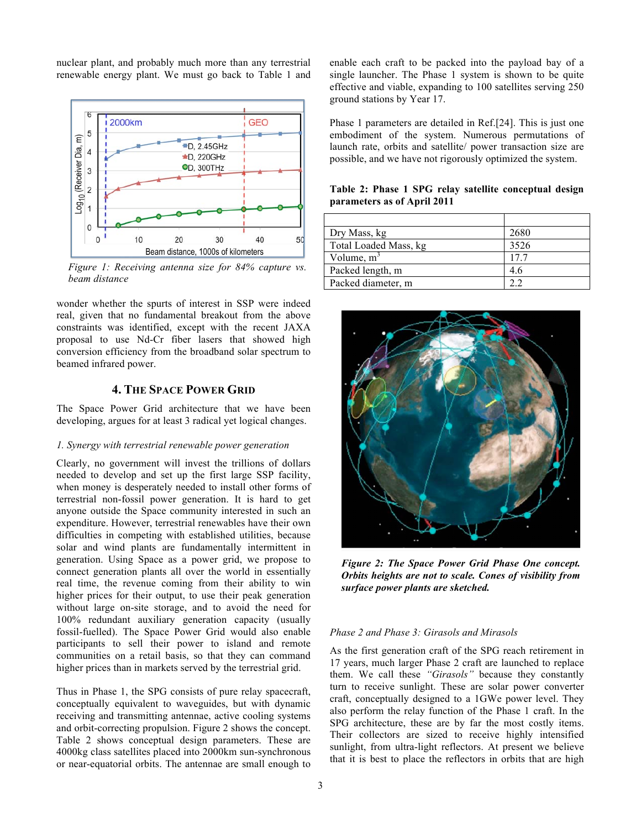nuclear plant, and probably much more than any terrestrial renewable energy plant. We must go back to Table 1 and



*Figure 1: Receiving antenna size for 84% capture vs. beam distance*

wonder whether the spurts of interest in SSP were indeed real, given that no fundamental breakout from the above constraints was identified, except with the recent JAXA proposal to use Nd-Cr fiber lasers that showed high conversion efficiency from the broadband solar spectrum to beamed infrared power.

# **4. THE SPACE POWER GRID**

The Space Power Grid architecture that we have been developing, argues for at least 3 radical yet logical changes.

#### *1. Synergy with terrestrial renewable power generation*

Clearly, no government will invest the trillions of dollars needed to develop and set up the first large SSP facility, when money is desperately needed to install other forms of terrestrial non-fossil power generation. It is hard to get anyone outside the Space community interested in such an expenditure. However, terrestrial renewables have their own difficulties in competing with established utilities, because solar and wind plants are fundamentally intermittent in generation. Using Space as a power grid, we propose to connect generation plants all over the world in essentially real time, the revenue coming from their ability to win higher prices for their output, to use their peak generation without large on-site storage, and to avoid the need for 100% redundant auxiliary generation capacity (usually fossil-fuelled). The Space Power Grid would also enable participants to sell their power to island and remote communities on a retail basis, so that they can command higher prices than in markets served by the terrestrial grid.

Thus in Phase 1, the SPG consists of pure relay spacecraft, conceptually equivalent to waveguides, but with dynamic receiving and transmitting antennae, active cooling systems and orbit-correcting propulsion. Figure 2 shows the concept. Table 2 shows conceptual design parameters. These are 4000kg class satellites placed into 2000km sun-synchronous or near-equatorial orbits. The antennae are small enough to enable each craft to be packed into the payload bay of a single launcher. The Phase 1 system is shown to be quite effective and viable, expanding to 100 satellites serving 250 ground stations by Year 17.

Phase 1 parameters are detailed in Ref.[24]. This is just one embodiment of the system. Numerous permutations of launch rate, orbits and satellite/ power transaction size are possible, and we have not rigorously optimized the system.

**Table 2: Phase 1 SPG relay satellite conceptual design parameters as of April 2011**

| Dry Mass, kg          | 2680 |
|-----------------------|------|
| Total Loaded Mass, kg | 3526 |
| Volume, $m^2$         | 17.7 |
| Packed length, m      | 46   |
| Packed diameter, m    |      |



*Figure 2: The Space Power Grid Phase One concept. Orbits heights are not to scale. Cones of visibility from surface power plants are sketched.*

### *Phase 2 and Phase 3: Girasols and Mirasols*

As the first generation craft of the SPG reach retirement in 17 years, much larger Phase 2 craft are launched to replace them. We call these *"Girasols"* because they constantly turn to receive sunlight. These are solar power converter craft, conceptually designed to a 1GWe power level. They also perform the relay function of the Phase 1 craft. In the SPG architecture, these are by far the most costly items. Their collectors are sized to receive highly intensified sunlight, from ultra-light reflectors. At present we believe that it is best to place the reflectors in orbits that are high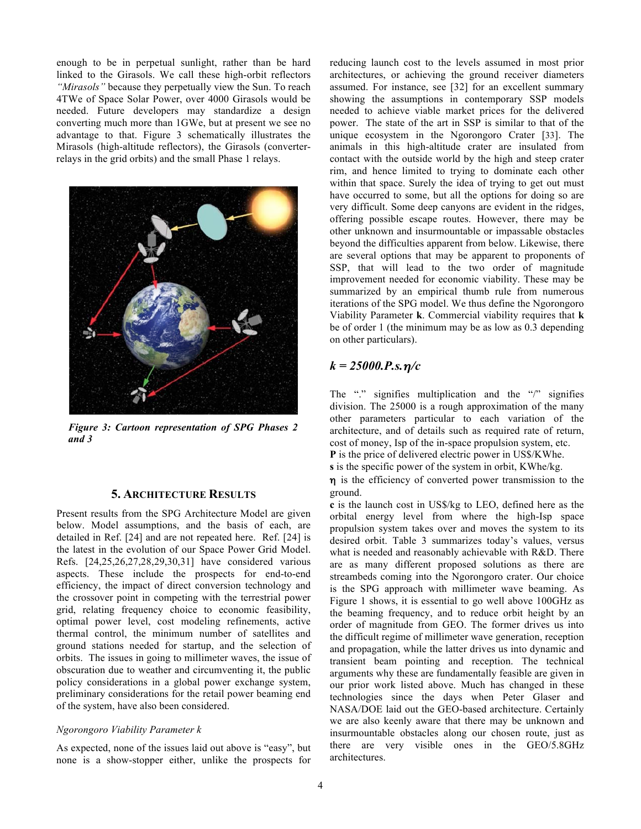enough to be in perpetual sunlight, rather than be hard linked to the Girasols. We call these high-orbit reflectors *"Mirasols"* because they perpetually view the Sun. To reach 4TWe of Space Solar Power, over 4000 Girasols would be needed. Future developers may standardize a design converting much more than 1GWe, but at present we see no advantage to that. Figure 3 schematically illustrates the Mirasols (high-altitude reflectors), the Girasols (converterrelays in the grid orbits) and the small Phase 1 relays.



*Figure 3: Cartoon representation of SPG Phases 2 and 3*

# **5. ARCHITECTURE RESULTS**

Present results from the SPG Architecture Model are given below. Model assumptions, and the basis of each, are detailed in Ref. [24] and are not repeated here. Ref. [24] is the latest in the evolution of our Space Power Grid Model. Refs. [24,25,26,27,28,29,30,31] have considered various aspects. These include the prospects for end-to-end efficiency, the impact of direct conversion technology and the crossover point in competing with the terrestrial power grid, relating frequency choice to economic feasibility, optimal power level, cost modeling refinements, active thermal control, the minimum number of satellites and ground stations needed for startup, and the selection of orbits. The issues in going to millimeter waves, the issue of obscuration due to weather and circumventing it, the public policy considerations in a global power exchange system, preliminary considerations for the retail power beaming end of the system, have also been considered.

#### *Ngorongoro Viability Parameter k*

As expected, none of the issues laid out above is "easy", but none is a show-stopper either, unlike the prospects for reducing launch cost to the levels assumed in most prior architectures, or achieving the ground receiver diameters assumed. For instance, see [32] for an excellent summary showing the assumptions in contemporary SSP models needed to achieve viable market prices for the delivered power. The state of the art in SSP is similar to that of the unique ecosystem in the Ngorongoro Crater [33]. The animals in this high-altitude crater are insulated from contact with the outside world by the high and steep crater rim, and hence limited to trying to dominate each other within that space. Surely the idea of trying to get out must have occurred to some, but all the options for doing so are very difficult. Some deep canyons are evident in the ridges, offering possible escape routes. However, there may be other unknown and insurmountable or impassable obstacles beyond the difficulties apparent from below. Likewise, there are several options that may be apparent to proponents of SSP, that will lead to the two order of magnitude improvement needed for economic viability. These may be summarized by an empirical thumb rule from numerous iterations of the SPG model. We thus define the Ngorongoro Viability Parameter **k**. Commercial viability requires that **k** be of order 1 (the minimum may be as low as 0.3 depending on other particulars).

# *k = 25000.P.s.*η*/c*

The "." signifies multiplication and the "/" signifies division. The 25000 is a rough approximation of the many other parameters particular to each variation of the architecture, and of details such as required rate of return, cost of money, Isp of the in-space propulsion system, etc. **P** is the price of delivered electric power in US\$/KWhe.

**s** is the specific power of the system in orbit, KWhe/kg.

η is the efficiency of converted power transmission to the ground.

**c** is the launch cost in US\$/kg to LEO, defined here as the orbital energy level from where the high-Isp space propulsion system takes over and moves the system to its desired orbit. Table 3 summarizes today's values, versus what is needed and reasonably achievable with R&D. There are as many different proposed solutions as there are streambeds coming into the Ngorongoro crater. Our choice is the SPG approach with millimeter wave beaming. As Figure 1 shows, it is essential to go well above 100GHz as the beaming frequency, and to reduce orbit height by an order of magnitude from GEO. The former drives us into the difficult regime of millimeter wave generation, reception and propagation, while the latter drives us into dynamic and transient beam pointing and reception. The technical arguments why these are fundamentally feasible are given in our prior work listed above. Much has changed in these technologies since the days when Peter Glaser and NASA/DOE laid out the GEO-based architecture. Certainly we are also keenly aware that there may be unknown and insurmountable obstacles along our chosen route, just as there are very visible ones in the GEO/5.8GHz architectures.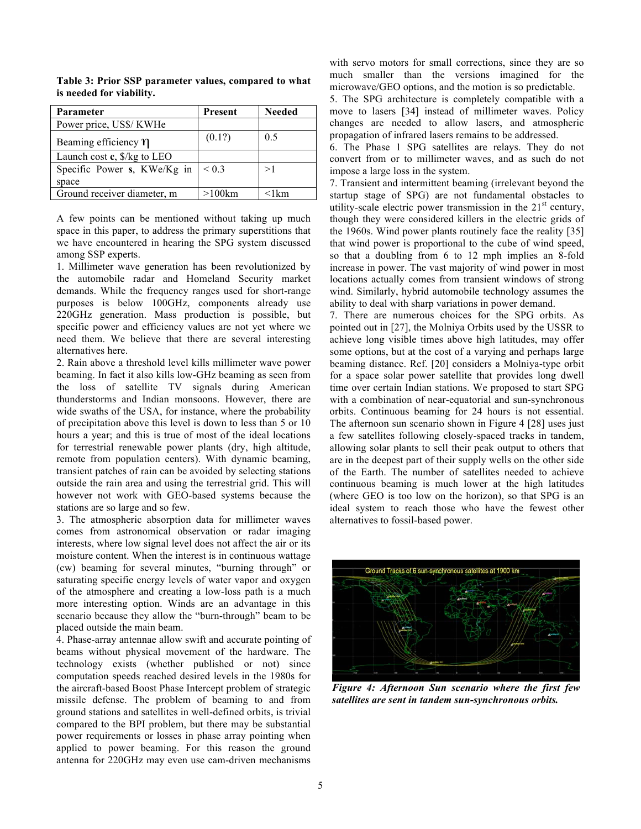| Parameter                                      | Present    | <b>Needed</b> |
|------------------------------------------------|------------|---------------|
| Power price, US\$/ KWHe                        |            |               |
| Beaming efficiency $\eta$                      | (0.1?)     | 0.5           |
| Launch cost $c$ , $\frac{6}{\text{kg}}$ to LEO |            |               |
| Specific Power s, KWe/Kg in<br>space           | ${}_{0.3}$ | >1            |
| Ground receiver diameter, m                    | $>100$ km  | $<$ 1 $km$    |

**Table 3: Prior SSP parameter values, compared to what is needed for viability.**

A few points can be mentioned without taking up much space in this paper, to address the primary superstitions that we have encountered in hearing the SPG system discussed among SSP experts.

1. Millimeter wave generation has been revolutionized by the automobile radar and Homeland Security market demands. While the frequency ranges used for short-range purposes is below 100GHz, components already use 220GHz generation. Mass production is possible, but specific power and efficiency values are not yet where we need them. We believe that there are several interesting alternatives here.

2. Rain above a threshold level kills millimeter wave power beaming. In fact it also kills low-GHz beaming as seen from the loss of satellite TV signals during American thunderstorms and Indian monsoons. However, there are wide swaths of the USA, for instance, where the probability of precipitation above this level is down to less than 5 or 10 hours a year; and this is true of most of the ideal locations for terrestrial renewable power plants (dry, high altitude, remote from population centers). With dynamic beaming, transient patches of rain can be avoided by selecting stations outside the rain area and using the terrestrial grid. This will however not work with GEO-based systems because the stations are so large and so few.

3. The atmospheric absorption data for millimeter waves comes from astronomical observation or radar imaging interests, where low signal level does not affect the air or its moisture content. When the interest is in continuous wattage (cw) beaming for several minutes, "burning through" or saturating specific energy levels of water vapor and oxygen of the atmosphere and creating a low-loss path is a much more interesting option. Winds are an advantage in this scenario because they allow the "burn-through" beam to be placed outside the main beam.

4. Phase-array antennae allow swift and accurate pointing of beams without physical movement of the hardware. The technology exists (whether published or not) since computation speeds reached desired levels in the 1980s for the aircraft-based Boost Phase Intercept problem of strategic missile defense. The problem of beaming to and from ground stations and satellites in well-defined orbits, is trivial compared to the BPI problem, but there may be substantial power requirements or losses in phase array pointing when applied to power beaming. For this reason the ground antenna for 220GHz may even use cam-driven mechanisms

with servo motors for small corrections, since they are so much smaller than the versions imagined for the microwave/GEO options, and the motion is so predictable.

5. The SPG architecture is completely compatible with a move to lasers [34] instead of millimeter waves. Policy changes are needed to allow lasers, and atmospheric propagation of infrared lasers remains to be addressed.

6. The Phase 1 SPG satellites are relays. They do not convert from or to millimeter waves, and as such do not impose a large loss in the system.

7. Transient and intermittent beaming (irrelevant beyond the startup stage of SPG) are not fundamental obstacles to utility-scale electric power transmission in the  $21<sup>st</sup>$  century, though they were considered killers in the electric grids of the 1960s. Wind power plants routinely face the reality [35] that wind power is proportional to the cube of wind speed, so that a doubling from 6 to 12 mph implies an 8-fold increase in power. The vast majority of wind power in most locations actually comes from transient windows of strong wind. Similarly, hybrid automobile technology assumes the ability to deal with sharp variations in power demand.

7. There are numerous choices for the SPG orbits. As pointed out in [27], the Molniya Orbits used by the USSR to achieve long visible times above high latitudes, may offer some options, but at the cost of a varying and perhaps large beaming distance. Ref. [20] considers a Molniya-type orbit for a space solar power satellite that provides long dwell time over certain Indian stations. We proposed to start SPG with a combination of near-equatorial and sun-synchronous orbits. Continuous beaming for 24 hours is not essential. The afternoon sun scenario shown in Figure 4 [28] uses just a few satellites following closely-spaced tracks in tandem, allowing solar plants to sell their peak output to others that are in the deepest part of their supply wells on the other side of the Earth. The number of satellites needed to achieve continuous beaming is much lower at the high latitudes (where GEO is too low on the horizon), so that SPG is an ideal system to reach those who have the fewest other alternatives to fossil-based power.



*Figure 4: Afternoon Sun scenario where the first few satellites are sent in tandem sun-synchronous orbits.*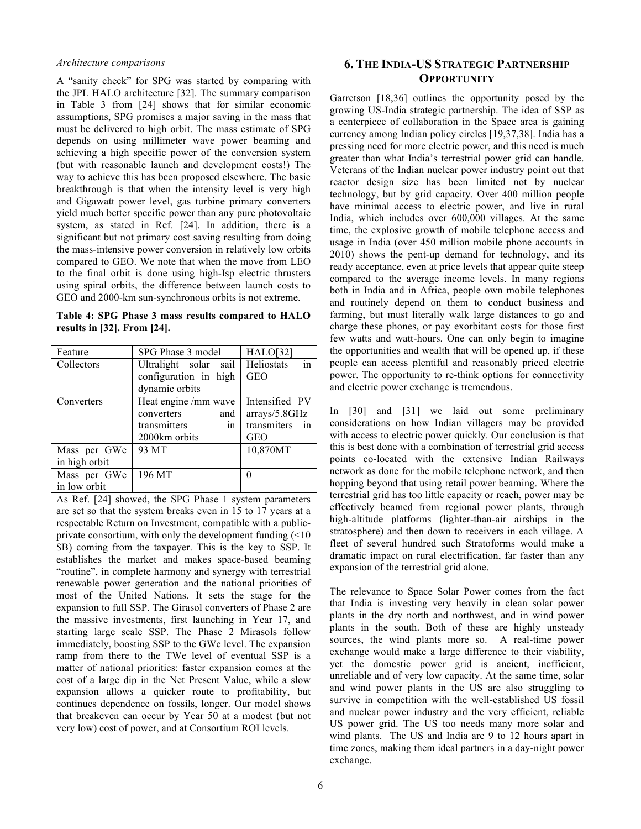#### *Architecture comparisons*

A "sanity check" for SPG was started by comparing with the JPL HALO architecture [32]. The summary comparison in Table 3 from [24] shows that for similar economic assumptions, SPG promises a major saving in the mass that must be delivered to high orbit. The mass estimate of SPG depends on using millimeter wave power beaming and achieving a high specific power of the conversion system (but with reasonable launch and development costs!) The way to achieve this has been proposed elsewhere. The basic breakthrough is that when the intensity level is very high and Gigawatt power level, gas turbine primary converters yield much better specific power than any pure photovoltaic system, as stated in Ref. [24]. In addition, there is a significant but not primary cost saving resulting from doing the mass-intensive power conversion in relatively low orbits compared to GEO. We note that when the move from LEO to the final orbit is done using high-Isp electric thrusters using spiral orbits, the difference between launch costs to GEO and 2000-km sun-synchronous orbits is not extreme.

**Table 4: SPG Phase 3 mass results compared to HALO results in [32]. From [24].**

| Feature       | SPG Phase 3 model     | <b>HALO[32]</b>   |
|---------------|-----------------------|-------------------|
| Collectors    | Ultralight solar sail | in<br>Heliostats  |
|               | configuration in high | <b>GEO</b>        |
|               | dynamic orbits        |                   |
| Converters    | Heat engine /mm wave  | Intensified PV    |
|               | converters<br>and     | arrays/5.8GHz     |
|               | transmitters<br>in.   | transmiters<br>in |
|               | 2000km orbits         | <b>GEO</b>        |
| Mass per GWe  | 93 MT                 | 10,870MT          |
| in high orbit |                       |                   |
| Mass per GWe  | 196 MT                | ∩                 |
| in low orbit  |                       |                   |

As Ref. [24] showed, the SPG Phase 1 system parameters are set so that the system breaks even in 15 to 17 years at a respectable Return on Investment, compatible with a publicprivate consortium, with only the development funding (<10 \$B) coming from the taxpayer. This is the key to SSP. It establishes the market and makes space-based beaming "routine", in complete harmony and synergy with terrestrial renewable power generation and the national priorities of most of the United Nations. It sets the stage for the expansion to full SSP. The Girasol converters of Phase 2 are the massive investments, first launching in Year 17, and starting large scale SSP. The Phase 2 Mirasols follow immediately, boosting SSP to the GWe level. The expansion ramp from there to the TWe level of eventual SSP is a matter of national priorities: faster expansion comes at the cost of a large dip in the Net Present Value, while a slow expansion allows a quicker route to profitability, but continues dependence on fossils, longer. Our model shows that breakeven can occur by Year 50 at a modest (but not very low) cost of power, and at Consortium ROI levels.

# **6. THE INDIA-US STRATEGIC PARTNERSHIP OPPORTUNITY**

Garretson [18,36] outlines the opportunity posed by the growing US-India strategic partnership. The idea of SSP as a centerpiece of collaboration in the Space area is gaining currency among Indian policy circles [19,37,38]. India has a pressing need for more electric power, and this need is much greater than what India's terrestrial power grid can handle. Veterans of the Indian nuclear power industry point out that reactor design size has been limited not by nuclear technology, but by grid capacity. Over 400 million people have minimal access to electric power, and live in rural India, which includes over 600,000 villages. At the same time, the explosive growth of mobile telephone access and usage in India (over 450 million mobile phone accounts in 2010) shows the pent-up demand for technology, and its ready acceptance, even at price levels that appear quite steep compared to the average income levels. In many regions both in India and in Africa, people own mobile telephones and routinely depend on them to conduct business and farming, but must literally walk large distances to go and charge these phones, or pay exorbitant costs for those first few watts and watt-hours. One can only begin to imagine the opportunities and wealth that will be opened up, if these people can access plentiful and reasonably priced electric power. The opportunity to re-think options for connectivity and electric power exchange is tremendous.

In [30] and [31] we laid out some preliminary considerations on how Indian villagers may be provided with access to electric power quickly. Our conclusion is that this is best done with a combination of terrestrial grid access points co-located with the extensive Indian Railways network as done for the mobile telephone network, and then hopping beyond that using retail power beaming. Where the terrestrial grid has too little capacity or reach, power may be effectively beamed from regional power plants, through high-altitude platforms (lighter-than-air airships in the stratosphere) and then down to receivers in each village. A fleet of several hundred such Stratoforms would make a dramatic impact on rural electrification, far faster than any expansion of the terrestrial grid alone.

The relevance to Space Solar Power comes from the fact that India is investing very heavily in clean solar power plants in the dry north and northwest, and in wind power plants in the south. Both of these are highly unsteady sources, the wind plants more so. A real-time power exchange would make a large difference to their viability, yet the domestic power grid is ancient, inefficient, unreliable and of very low capacity. At the same time, solar and wind power plants in the US are also struggling to survive in competition with the well-established US fossil and nuclear power industry and the very efficient, reliable US power grid. The US too needs many more solar and wind plants. The US and India are 9 to 12 hours apart in time zones, making them ideal partners in a day-night power exchange.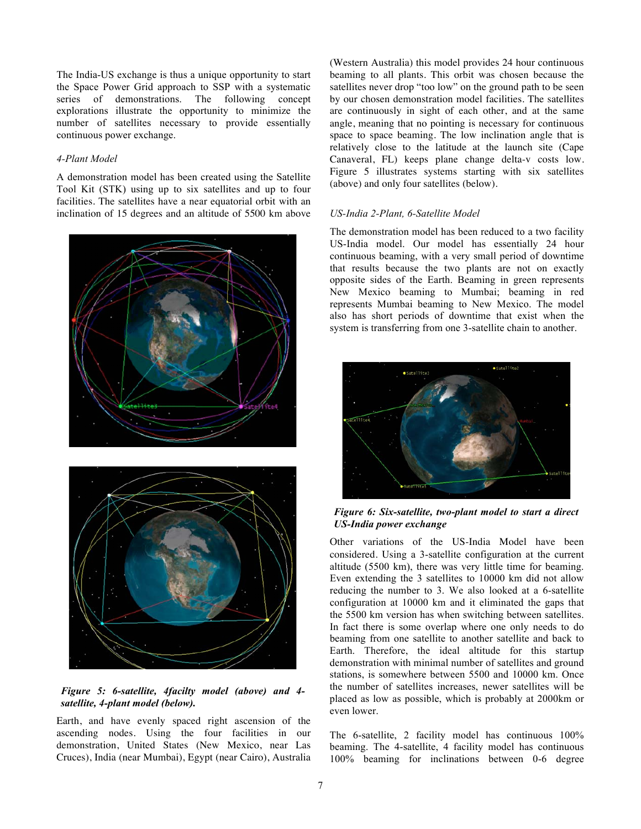The India-US exchange is thus a unique opportunity to start the Space Power Grid approach to SSP with a systematic series of demonstrations. The following concept explorations illustrate the opportunity to minimize the number of satellites necessary to provide essentially continuous power exchange.

### *4-Plant Model*

A demonstration model has been created using the Satellite Tool Kit (STK) using up to six satellites and up to four facilities. The satellites have a near equatorial orbit with an inclination of 15 degrees and an altitude of 5500 km above



# *Figure 5: 6-satellite, 4facilty model (above) and 4 satellite, 4-plant model (below).*

Earth, and have evenly spaced right ascension of the ascending nodes. Using the four facilities in our demonstration, United States (New Mexico, near Las Cruces), India (near Mumbai), Egypt (near Cairo), Australia

(Western Australia) this model provides 24 hour continuous beaming to all plants. This orbit was chosen because the satellites never drop "too low" on the ground path to be seen by our chosen demonstration model facilities. The satellites are continuously in sight of each other, and at the same angle, meaning that no pointing is necessary for continuous space to space beaming. The low inclination angle that is relatively close to the latitude at the launch site (Cape Canaveral, FL) keeps plane change delta-v costs low. Figure 5 illustrates systems starting with six satellites (above) and only four satellites (below).

### *US-India 2-Plant, 6-Satellite Model*

The demonstration model has been reduced to a two facility US-India model. Our model has essentially 24 hour continuous beaming, with a very small period of downtime that results because the two plants are not on exactly opposite sides of the Earth. Beaming in green represents New Mexico beaming to Mumbai; beaming in red represents Mumbai beaming to New Mexico. The model also has short periods of downtime that exist when the system is transferring from one 3-satellite chain to another.



*Figure 6: Six-satellite, two-plant model to start a direct US-India power exchange*

Other variations of the US-India Model have been considered. Using a 3-satellite configuration at the current altitude (5500 km), there was very little time for beaming. Even extending the 3 satellites to 10000 km did not allow reducing the number to 3. We also looked at a 6-satellite configuration at 10000 km and it eliminated the gaps that the 5500 km version has when switching between satellites. In fact there is some overlap where one only needs to do beaming from one satellite to another satellite and back to Earth. Therefore, the ideal altitude for this startup demonstration with minimal number of satellites and ground stations, is somewhere between 5500 and 10000 km. Once the number of satellites increases, newer satellites will be placed as low as possible, which is probably at 2000km or even lower.

The 6-satellite, 2 facility model has continuous 100% beaming. The 4-satellite, 4 facility model has continuous 100% beaming for inclinations between 0-6 degree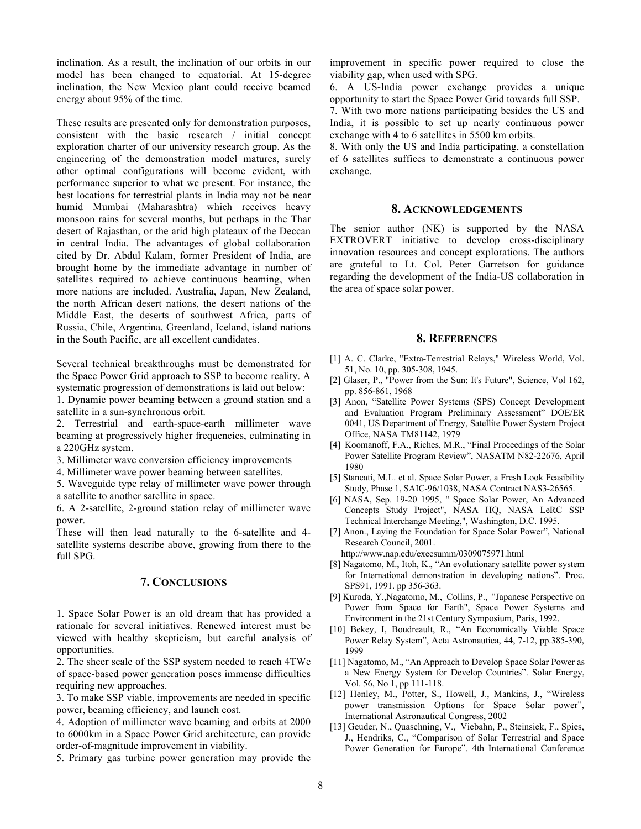inclination. As a result, the inclination of our orbits in our model has been changed to equatorial. At 15-degree inclination, the New Mexico plant could receive beamed energy about 95% of the time.

These results are presented only for demonstration purposes, consistent with the basic research / initial concept exploration charter of our university research group. As the engineering of the demonstration model matures, surely other optimal configurations will become evident, with performance superior to what we present. For instance, the best locations for terrestrial plants in India may not be near humid Mumbai (Maharashtra) which receives heavy monsoon rains for several months, but perhaps in the Thar desert of Rajasthan, or the arid high plateaux of the Deccan in central India. The advantages of global collaboration cited by Dr. Abdul Kalam, former President of India, are brought home by the immediate advantage in number of satellites required to achieve continuous beaming, when more nations are included. Australia, Japan, New Zealand, the north African desert nations, the desert nations of the Middle East, the deserts of southwest Africa, parts of Russia, Chile, Argentina, Greenland, Iceland, island nations in the South Pacific, are all excellent candidates.

Several technical breakthroughs must be demonstrated for the Space Power Grid approach to SSP to become reality. A systematic progression of demonstrations is laid out below:

1. Dynamic power beaming between a ground station and a satellite in a sun-synchronous orbit.

2. Terrestrial and earth-space-earth millimeter wave beaming at progressively higher frequencies, culminating in a 220GHz system.

3. Millimeter wave conversion efficiency improvements

4. Millimeter wave power beaming between satellites.

5. Waveguide type relay of millimeter wave power through a satellite to another satellite in space.

6. A 2-satellite, 2-ground station relay of millimeter wave power.

These will then lead naturally to the 6-satellite and 4 satellite systems describe above, growing from there to the full SPG.

### **7. CONCLUSIONS**

1. Space Solar Power is an old dream that has provided a rationale for several initiatives. Renewed interest must be viewed with healthy skepticism, but careful analysis of opportunities.

2. The sheer scale of the SSP system needed to reach 4TWe of space-based power generation poses immense difficulties requiring new approaches.

3. To make SSP viable, improvements are needed in specific power, beaming efficiency, and launch cost.

4. Adoption of millimeter wave beaming and orbits at 2000 to 6000km in a Space Power Grid architecture, can provide order-of-magnitude improvement in viability.

5. Primary gas turbine power generation may provide the

improvement in specific power required to close the viability gap, when used with SPG.

6. A US-India power exchange provides a unique opportunity to start the Space Power Grid towards full SSP. 7. With two more nations participating besides the US and India, it is possible to set up nearly continuous power exchange with 4 to 6 satellites in 5500 km orbits.

8. With only the US and India participating, a constellation of 6 satellites suffices to demonstrate a continuous power exchange.

### **8. ACKNOWLEDGEMENTS**

The senior author (NK) is supported by the NASA EXTROVERT initiative to develop cross-disciplinary innovation resources and concept explorations. The authors are grateful to Lt. Col. Peter Garretson for guidance regarding the development of the India-US collaboration in the area of space solar power.

### **8. REFERENCES**

- [1] A. C. Clarke, "Extra-Terrestrial Relays," Wireless World, Vol. 51, No. 10, pp. 305-308, 1945.
- [2] Glaser, P., "Power from the Sun: It's Future", Science, Vol 162, pp. 856-861, 1968
- [3] Anon, "Satellite Power Systems (SPS) Concept Development and Evaluation Program Preliminary Assessment" DOE/ER 0041, US Department of Energy, Satellite Power System Project Office, NASA TM81142, 1979
- [4] Koomanoff, F.A., Riches, M.R., "Final Proceedings of the Solar Power Satellite Program Review", NASATM N82-22676, April 1980
- [5] Stancati, M.L. et al. Space Solar Power, a Fresh Look Feasibility Study, Phase 1, SAIC-96/1038, NASA Contract NAS3-26565.
- [6] NASA, Sep. 19-20 1995, " Space Solar Power, An Advanced Concepts Study Project", NASA HQ, NASA LeRC SSP Technical Interchange Meeting,", Washington, D.C. 1995.
- [7] Anon., Laying the Foundation for Space Solar Power", National Research Council, 2001.

http://www.nap.edu/execsumm/0309075971.html

- [8] Nagatomo, M., Itoh, K., "An evolutionary satellite power system for International demonstration in developing nations". Proc. SPS91, 1991. pp 356-363.
- [9] Kuroda, Y.,Nagatomo, M., Collins, P., "Japanese Perspective on Power from Space for Earth", Space Power Systems and Environment in the 21st Century Symposium, Paris, 1992.
- [10] Bekey, I, Boudreault, R., "An Economically Viable Space Power Relay System", Acta Astronautica, 44, 7-12, pp.385-390, 1999
- [11] Nagatomo, M., "An Approach to Develop Space Solar Power as a New Energy System for Develop Countries". Solar Energy, Vol. 56, No 1, pp 111-118.
- [12] Henley, M., Potter, S., Howell, J., Mankins, J., "Wireless power transmission Options for Space Solar power", International Astronautical Congress, 2002
- [13] Geuder, N., Quaschning, V., Viebahn, P., Steinsiek, F., Spies, J., Hendriks, C., "Comparison of Solar Terrestrial and Space Power Generation for Europe". 4th International Conference